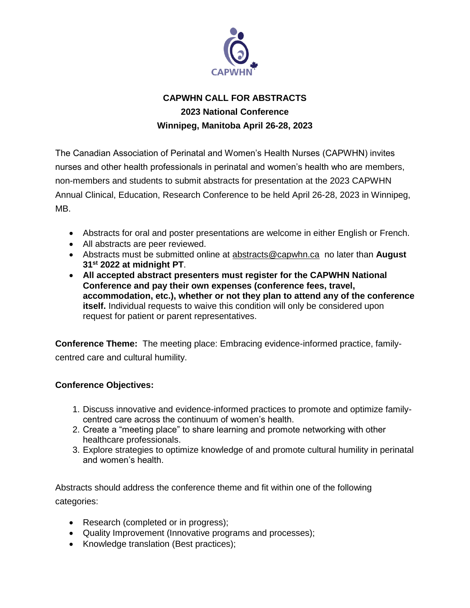

# **CAPWHN CALL FOR ABSTRACTS 2023 National Conference Winnipeg, Manitoba April 26-28, 2023**

The Canadian Association of Perinatal and Women's Health Nurses (CAPWHN) invites nurses and other health professionals in perinatal and women's health who are members, non-members and students to submit abstracts for presentation at the 2023 CAPWHN Annual Clinical, Education, Research Conference to be held April 26-28, 2023 in Winnipeg, MB.

- Abstracts for oral and poster presentations are welcome in either English or French.
- All abstracts are peer reviewed.
- Abstracts must be submitted online at [abstracts@capwhn.ca](mailto:abstracts@capwhn.ca) no later than **August 31st 2022 at midnight PT**.
- **All accepted abstract presenters must register for the CAPWHN National Conference and pay their own expenses (conference fees, travel, accommodation, etc.), whether or not they plan to attend any of the conference itself.** Individual requests to waive this condition will only be considered upon request for patient or parent representatives.

**Conference Theme:** The meeting place: Embracing evidence-informed practice, familycentred care and cultural humility.

#### **Conference Objectives:**

- 1. Discuss innovative and evidence-informed practices to promote and optimize familycentred care across the continuum of women's health.
- 2. Create a "meeting place" to share learning and promote networking with other healthcare professionals.
- 3. Explore strategies to optimize knowledge of and promote cultural humility in perinatal and women's health.

Abstracts should address the conference theme and fit within one of the following categories:

- Research (completed or in progress);
- Quality Improvement (Innovative programs and processes);
- Knowledge translation (Best practices);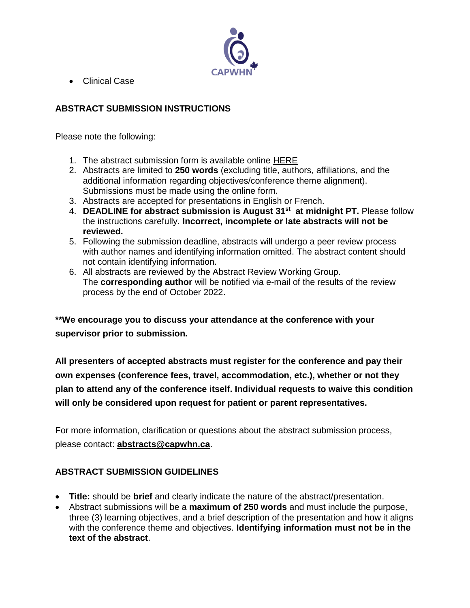

Clinical Case

### **ABSTRACT SUBMISSION INSTRUCTIONS**

Please note the following:

- 1. The abstract submission form is available online [HERE](https://docs.google.com/forms/d/e/1FAIpQLSfGqT07SVp3sOMPtt_8BWuhqfXGGaB5O1kJoHLetihPbl9-5A/viewform?usp=sf_link)
- 2. Abstracts are limited to **250 words** (excluding title, authors, affiliations, and the additional information regarding objectives/conference theme alignment). Submissions must be made using the online form.
- 3. Abstracts are accepted for presentations in English or French.
- 4. **DEADLINE for abstract submission is August 31st at midnight PT.** Please follow the instructions carefully. **Incorrect, incomplete or late abstracts will not be reviewed.**
- 5. Following the submission deadline, abstracts will undergo a peer review process with author names and identifying information omitted. The abstract content should not contain identifying information.
- 6. All abstracts are reviewed by the Abstract Review Working Group. The **corresponding author** will be notified via e-mail of the results of the review process by the end of October 2022.

**\*\*We encourage you to discuss your attendance at the conference with your supervisor prior to submission.**

**All presenters of accepted abstracts must register for the conference and pay their own expenses (conference fees, travel, accommodation, etc.), whether or not they plan to attend any of the conference itself. Individual requests to waive this condition will only be considered upon request for patient or parent representatives.**

For more information, clarification or questions about the abstract submission process, please contact: **[abstracts@capwhn.ca](mailto:abstracts@capwhn.ca)**.

### **ABSTRACT SUBMISSION GUIDELINES**

- **Title:** should be **brief** and clearly indicate the nature of the abstract/presentation.
- Abstract submissions will be a **maximum of 250 words** and must include the purpose, three (3) learning objectives, and a brief description of the presentation and how it aligns with the conference theme and objectives. **Identifying information must not be in the text of the abstract**.